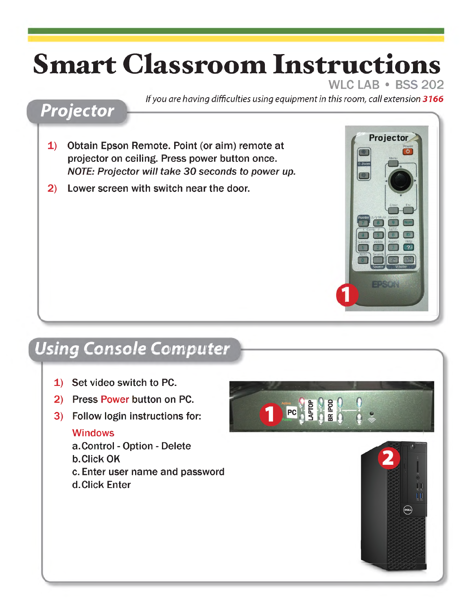# **Smart Classroom Instructions**

### WLC LAB • BSS 202

#### *If you are having difficulties using equipment in this room, call extension 3166*

### *Projector*

- 1) Obtain Epson Remote. Point (or aim) remote at projector on ceiling. Press power button once. *NOTE: Projector will take 30 seconds to power up.* 2) Lower screen with switch near the door.
- 



# *Using Console Computer*

- 1) Set video switch to PC.
- 2) Press Power button on PC.
- 3) Follow login instructions for:

#### Windows

- a.Control Option Delete
- b. Click OK
- c. Enter user name and password
- d. Click Enter



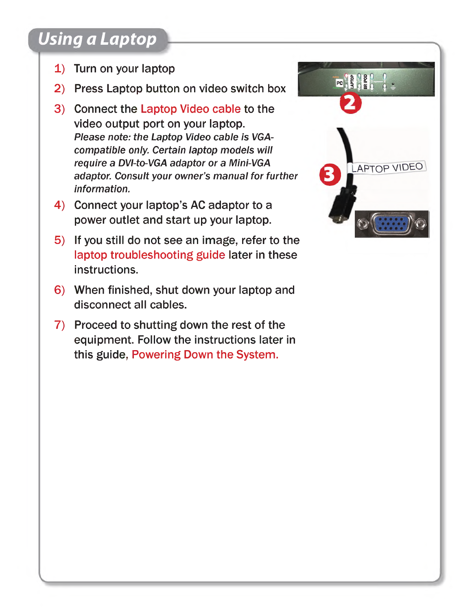# *Using a Laptop*

- 1) Turn on your laptop
- 2) Press Laptop button on video switch box
- 3) Connect the Laptop Video cable to the video output port on your laptop. *Please note: the Laptop Video cable is VGAcompatible only. Certain laptop models will require a DVI-to-VGA adaptor or a Mini-VGA adaptor. Consult your owner's manual for further information.*
- 4) Connect your laptop's AC adaptor to a power outlet and start up your laptop.
- 5) If you still do not see an image, refer to the laptop troubleshooting guide later in these instructions.
- 6) When finished, shut down your laptop and disconnect all cables.
- 7) Proceed to shutting down the rest of the equipment. Follow the instructions later in this guide, Powering Down the System.

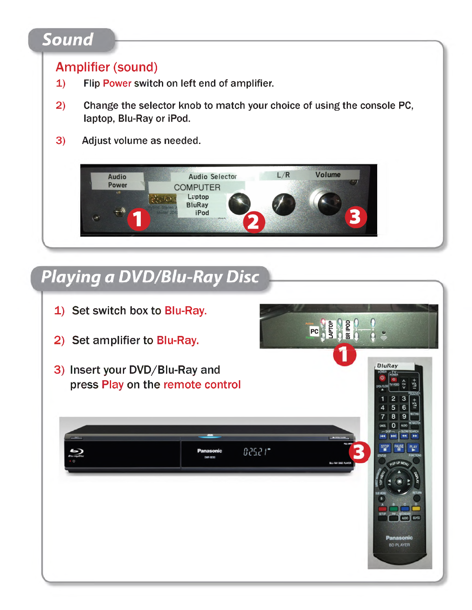### *Sound*

### Amplifier (sound)

- 1) Flip Power switch on left end of amplifier.
- 2) Change the selector knob to match your choice of using the console PC, laptop, Blu-Ray or iPod.
- 3) Adjust volume as needed.



# *Playing a DVD/Blu-RayDisc*

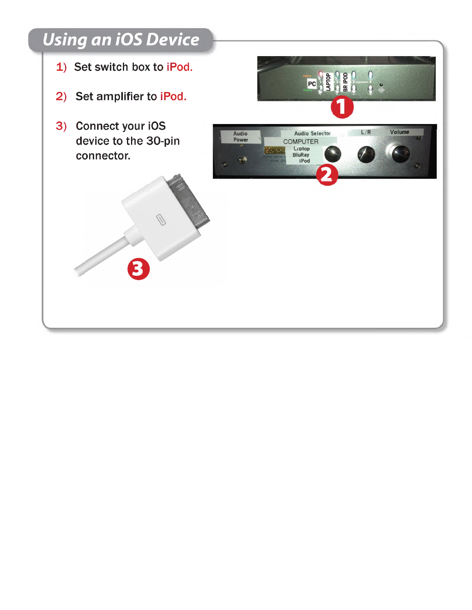